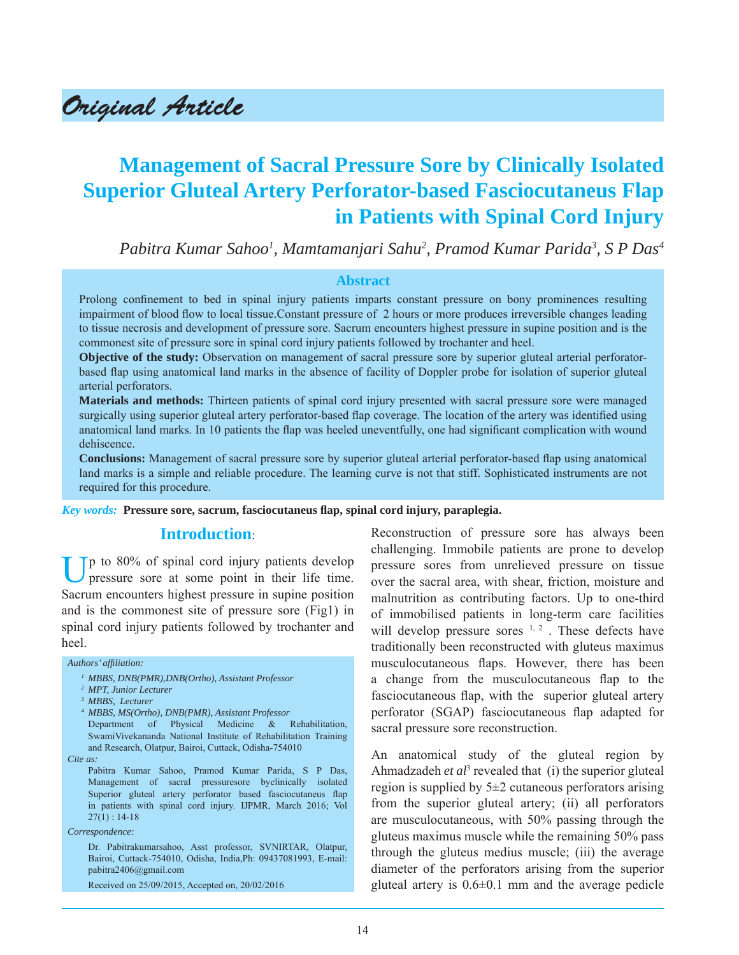Original Article

# **Management of Sacral Pressure Sore by Clinically Isolated Superior Gluteal Artery Perforator-based Fasciocutaneus Flap in Patients with Spinal Cord Injury**

*Pabitra Kumar Sahoo1 , Mamtamanjari Sahu2 , Pramod Kumar Parida3 , S P Das4*

### **Abstract**

Prolong confinement to bed in spinal injury patients imparts constant pressure on bony prominences resulting impairment of blood flow to local tissue. Constant pressure of 2 hours or more produces irreversible changes leading to tissue necrosis and development of pressure sore. Sacrum encounters highest pressure in supine position and is the commonest site of pressure sore in spinal cord injury patients followed by trochanter and heel.

**Objective of the study:** Observation on management of sacral pressure sore by superior gluteal arterial perforatorbased flap using anatomical land marks in the absence of facility of Doppler probe for isolation of superior gluteal arterial perforators.

**Materials and methods:** Thirteen patients of spinal cord injury presented with sacral pressure sore were managed surgically using superior gluteal artery perforator-based flap coverage. The location of the artery was identified using anatomical land marks. In 10 patients the flap was heeled uneventfully, one had significant complication with wound dehiscence.

**Conclusions:** Management of sacral pressure sore by superior gluteal arterial perforator-based flap using anatomical land marks is a simple and reliable procedure. The learning curve is not that stiff. Sophisticated instruments are not required for this procedure.

*Key words:* **Pressure sore, sacrum, fasciocutaneus fl ap, spinal cord injury, paraplegia.**

### **Introduction**:

Up to 80% of spinal cord injury patients develop pressure sore at some point in their life time. Sacrum encounters highest pressure in supine position and is the commonest site of pressure sore (Fig1) in spinal cord injury patients followed by trochanter and heel.

#### *Authors' affi liation:*

- *1 MBBS, DNB(PMR),DNB(Ortho), Assistant Professor*
- *2 MPT, Junior Lecturer*
- *3 MBBS, Lecturer*
- *4 MBBS, MS(Ortho), DNB(PMR), Assistant Professor*
- Department of Physical Medicine & Rehabilitation, SwamiVivekananda National Institute of Rehabilitation Training and Research, Olatpur, Bairoi, Cuttack, Odisha-754010
- *Cite as:*

 Pabitra Kumar Sahoo, Pramod Kumar Parida, S P Das, Management of sacral pressuresore byclinically isolated Superior gluteal artery perforator based fasciocutaneus flap in patients with spinal cord injury. IJPMR, March 2016; Vol  $27(1): 14-18$ 

*Correspondence:*

 Dr. Pabitrakumarsahoo, Asst professor, SVNIRTAR, Olatpur, Bairoi, Cuttack-754010, Odisha, India,Ph: 09437081993, E-mail: pabitra2406@gmail.com

Received on 25/09/2015, Accepted on, 20/02/2016

Reconstruction of pressure sore has always been challenging. Immobile patients are prone to develop pressure sores from unrelieved pressure on tissue over the sacral area, with shear, friction, moisture and malnutrition as contributing factors. Up to one-third of immobilised patients in long-term care facilities will develop pressure sores  $1, 2$ . These defects have traditionally been reconstructed with gluteus maximus musculocutaneous flaps. However, there has been a change from the musculocutaneous flap to the fasciocutaneous flap, with the superior gluteal artery perforator (SGAP) fasciocutaneous flap adapted for sacral pressure sore reconstruction.

An anatomical study of the gluteal region by Ahmadzadeh *et al*<sup>3</sup> revealed that (i) the superior gluteal region is supplied by  $5\pm 2$  cutaneous perforators arising from the superior gluteal artery; (ii) all perforators are musculocutaneous, with 50% passing through the gluteus maximus muscle while the remaining 50% pass through the gluteus medius muscle; (iii) the average diameter of the perforators arising from the superior gluteal artery is  $0.6\pm0.1$  mm and the average pedicle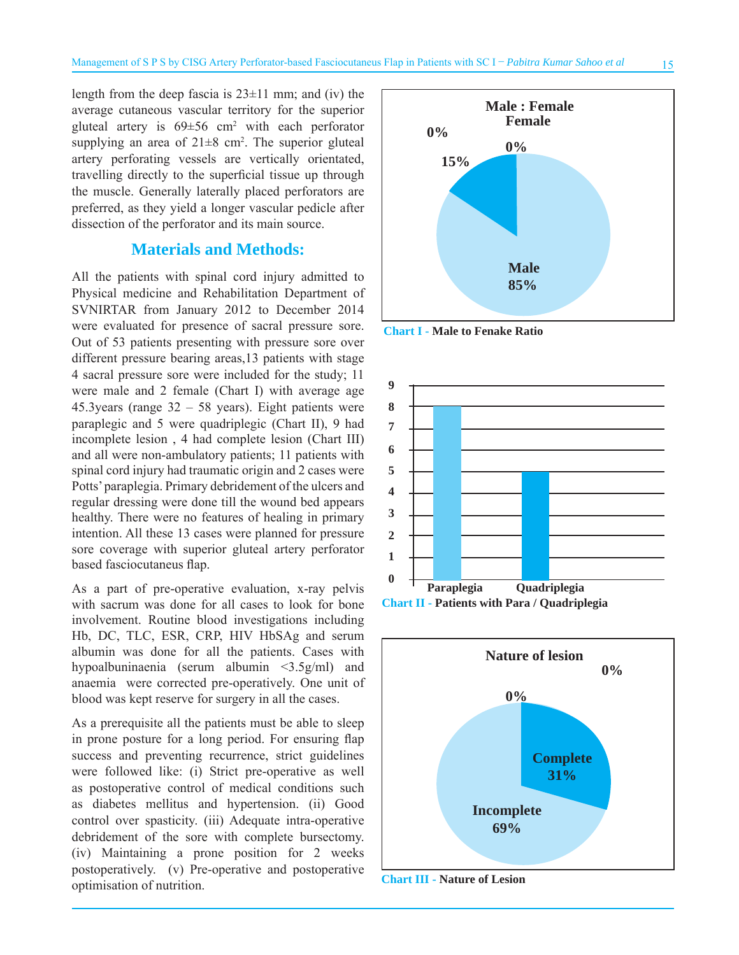length from the deep fascia is  $23\pm11$  mm; and (iv) the average cutaneous vascular territory for the superior gluteal artery is  $69 \pm 56$  cm<sup>2</sup> with each perforator supplying an area of  $21 \pm 8$  cm<sup>2</sup>. The superior gluteal artery perforating vessels are vertically orientated, travelling directly to the superficial tissue up through the muscle. Generally laterally placed perforators are preferred, as they yield a longer vascular pedicle after dissection of the perforator and its main source.

### **Materials and Methods:**

All the patients with spinal cord injury admitted to Physical medicine and Rehabilitation Department of SVNIRTAR from January 2012 to December 2014 were evaluated for presence of sacral pressure sore. Out of 53 patients presenting with pressure sore over different pressure bearing areas,13 patients with stage 4 sacral pressure sore were included for the study; 11 were male and 2 female (Chart I) with average age 45.3 years (range  $32 - 58$  years). Eight patients were paraplegic and 5 were quadriplegic (Chart II), 9 had incomplete lesion , 4 had complete lesion (Chart III) and all were non-ambulatory patients; 11 patients with spinal cord injury had traumatic origin and 2 cases were Potts' paraplegia. Primary debridement of the ulcers and regular dressing were done till the wound bed appears healthy. There were no features of healing in primary intention. All these 13 cases were planned for pressure sore coverage with superior gluteal artery perforator based fasciocutaneus flap.

As a part of pre-operative evaluation, x-ray pelvis with sacrum was done for all cases to look for bone involvement. Routine blood investigations including Hb, DC, TLC, ESR, CRP, HIV HbSAg and serum albumin was done for all the patients. Cases with hypoalbuninaenia (serum albumin <3.5g/ml) and anaemia were corrected pre-operatively. One unit of blood was kept reserve for surgery in all the cases.

As a prerequisite all the patients must be able to sleep in prone posture for a long period. For ensuring flap success and preventing recurrence, strict guidelines were followed like: (i) Strict pre-operative as well as postoperative control of medical conditions such as diabetes mellitus and hypertension. (ii) Good control over spasticity. (iii) Adequate intra-operative debridement of the sore with complete bursectomy. (iv) Maintaining a prone position for 2 weeks postoperatively. (v) Pre-operative and postoperative optimisation of nutrition.



**Chart I - Male to Fenake Ratio**







**Chart III - Nature of Lesion**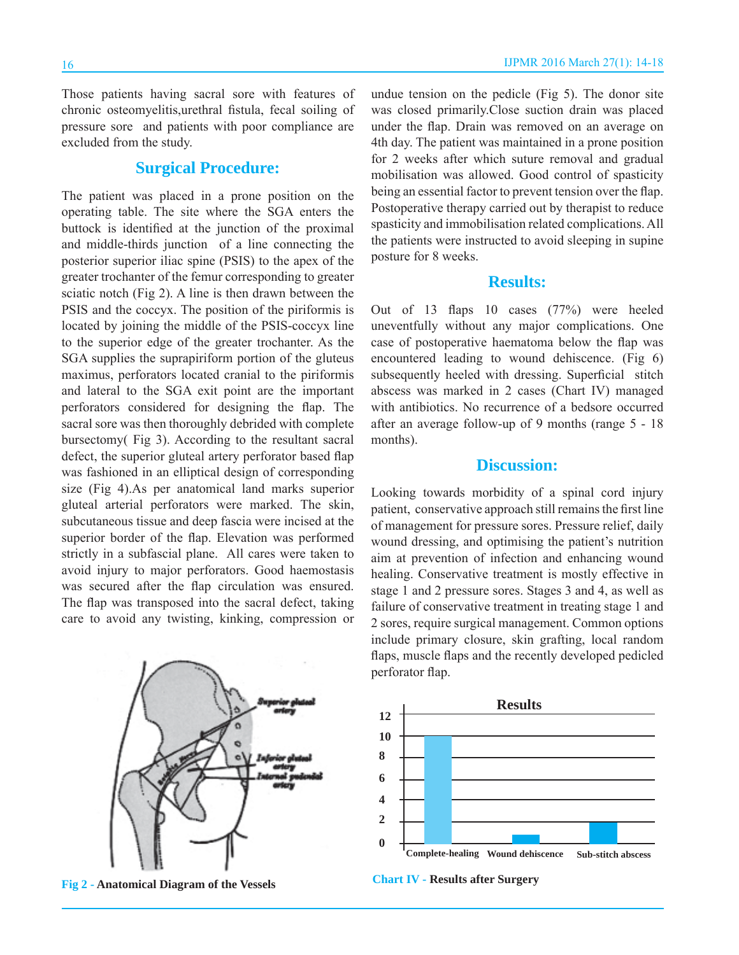Those patients having sacral sore with features of chronic osteomyelitis,urethral fistula, fecal soiling of pressure sore and patients with poor compliance are excluded from the study.

## **Surgical Procedure:**

The patient was placed in a prone position on the operating table. The site where the SGA enters the buttock is identified at the junction of the proximal and middle-thirds junction of a line connecting the posterior superior iliac spine (PSIS) to the apex of the greater trochanter of the femur corresponding to greater sciatic notch (Fig 2). A line is then drawn between the PSIS and the coccyx. The position of the piriformis is located by joining the middle of the PSIS-coccyx line to the superior edge of the greater trochanter. As the SGA supplies the suprapiriform portion of the gluteus maximus, perforators located cranial to the piriformis and lateral to the SGA exit point are the important perforators considered for designing the flap. The sacral sore was then thoroughly debrided with complete bursectomy( Fig 3). According to the resultant sacral defect, the superior gluteal artery perforator based flap was fashioned in an elliptical design of corresponding size (Fig 4).As per anatomical land marks superior gluteal arterial perforators were marked. The skin, subcutaneous tissue and deep fascia were incised at the superior border of the flap. Elevation was performed strictly in a subfascial plane. All cares were taken to avoid injury to major perforators. Good haemostasis was secured after the flap circulation was ensured. The flap was transposed into the sacral defect, taking care to avoid any twisting, kinking, compression or



undue tension on the pedicle (Fig 5). The donor site was closed primarily.Close suction drain was placed under the flap. Drain was removed on an average on 4th day. The patient was maintained in a prone position for 2 weeks after which suture removal and gradual mobilisation was allowed. Good control of spasticity being an essential factor to prevent tension over the flap. Postoperative therapy carried out by therapist to reduce spasticity and immobilisation related complications. All the patients were instructed to avoid sleeping in supine posture for 8 weeks.

### **Results:**

Out of 13 flaps 10 cases  $(77%)$  were heeled uneventfully without any major complications. One case of postoperative haematoma below the flap was encountered leading to wound dehiscence. (Fig 6) subsequently heeled with dressing. Superficial stitch abscess was marked in 2 cases (Chart IV) managed with antibiotics. No recurrence of a bedsore occurred after an average follow-up of 9 months (range 5 - 18 months).

### **Discussion:**

Looking towards morbidity of a spinal cord injury patient, conservative approach still remains the first line of management for pressure sores. Pressure relief, daily wound dressing, and optimising the patient's nutrition aim at prevention of infection and enhancing wound healing. Conservative treatment is mostly effective in stage 1 and 2 pressure sores. Stages 3 and 4, as well as failure of conservative treatment in treating stage 1 and 2 sores, require surgical management. Common options include primary closure, skin grafting, local random flaps, muscle flaps and the recently developed pedicled perforator flap.



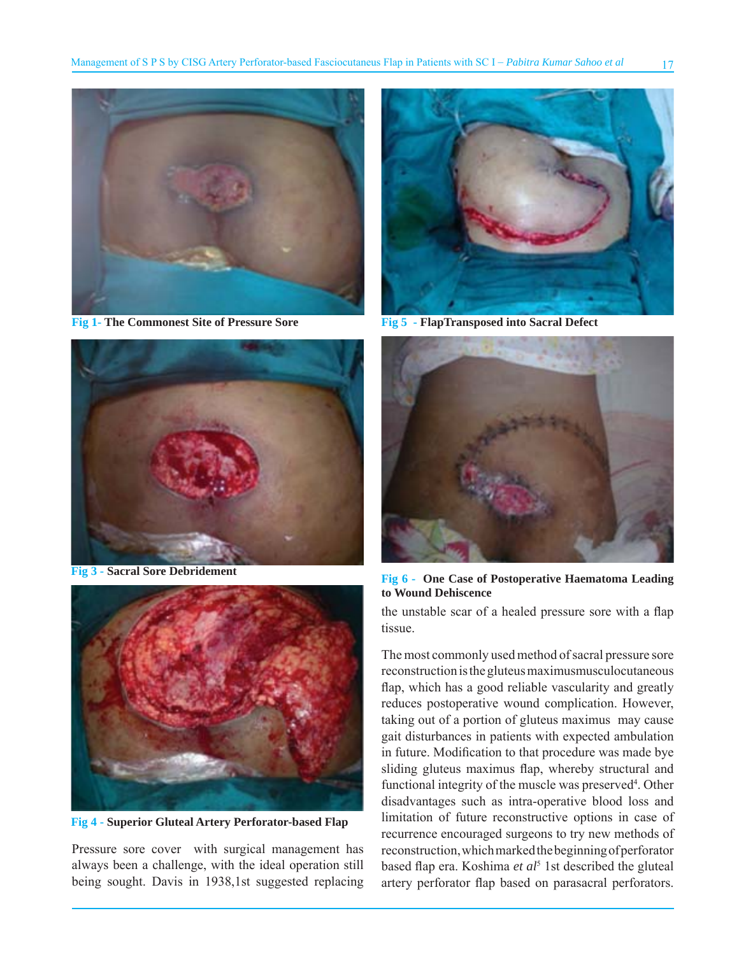

**Fig 1- The Commonest Site of Pressure Sore**



**Fig 3 - Sacral Sore Debridement**



**Fig 4 - Superior Gluteal Artery Perforator-based Flap**

Pressure sore cover with surgical management has always been a challenge, with the ideal operation still being sought. Davis in 1938,1st suggested replacing



**Fig 5 - FlapTransposed into Sacral Defect**



**Fig 6 - One Case of Postoperative Haematoma Leading to Wound Dehiscence**

the unstable scar of a healed pressure sore with a flap tissue.

The most commonly used method of sacral pressure sore reconstruction is the gluteus maximusmusculocutaneous flap, which has a good reliable vascularity and greatly reduces postoperative wound complication. However, taking out of a portion of gluteus maximus may cause gait disturbances in patients with expected ambulation in future. Modification to that procedure was made bye sliding gluteus maximus flap, whereby structural and functional integrity of the muscle was preserved<sup>4</sup>. Other disadvantages such as intra-operative blood loss and limitation of future reconstructive options in case of recurrence encouraged surgeons to try new methods of reconstruction, which marked the beginning of perforator based flap era. Koshima *et al*<sup>5</sup> 1st described the gluteal artery perforator flap based on parasacral perforators.

17